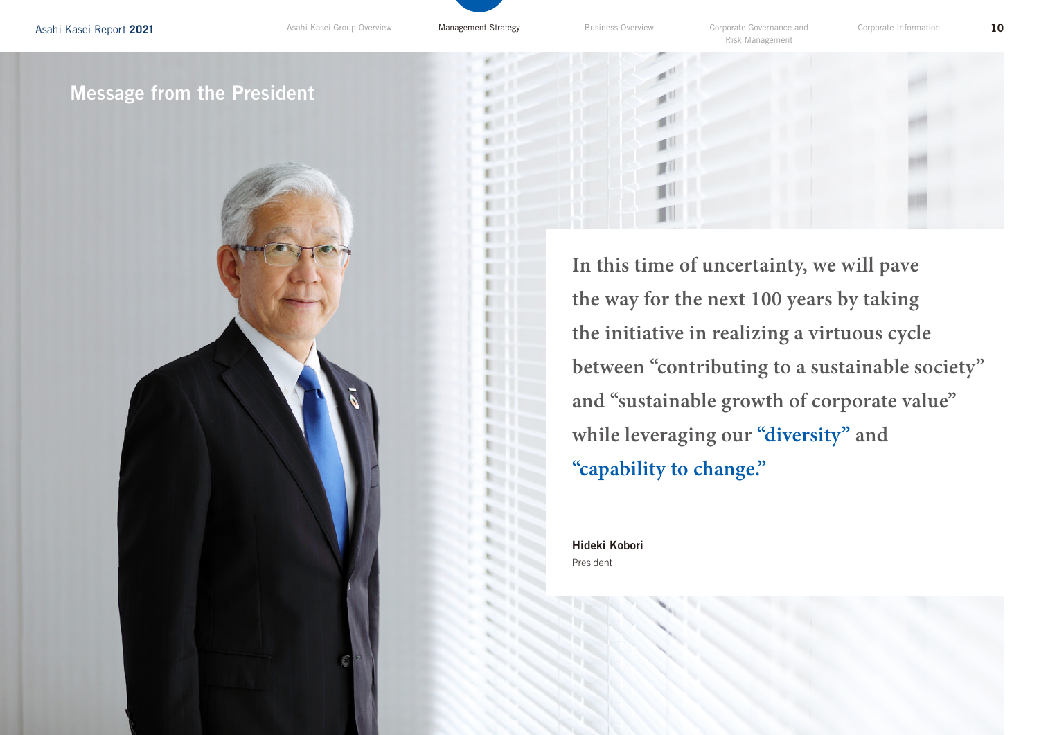Risk Management

# Message from the President



**In this time of uncertainty, we will pave the way for the next 100 years by taking the initiative in realizing a virtuous cycle between "contributing to a sustainable society" and "sustainable growth of corporate value" while leveraging our "diversity" and "capability to change."**

Hideki Kobori President

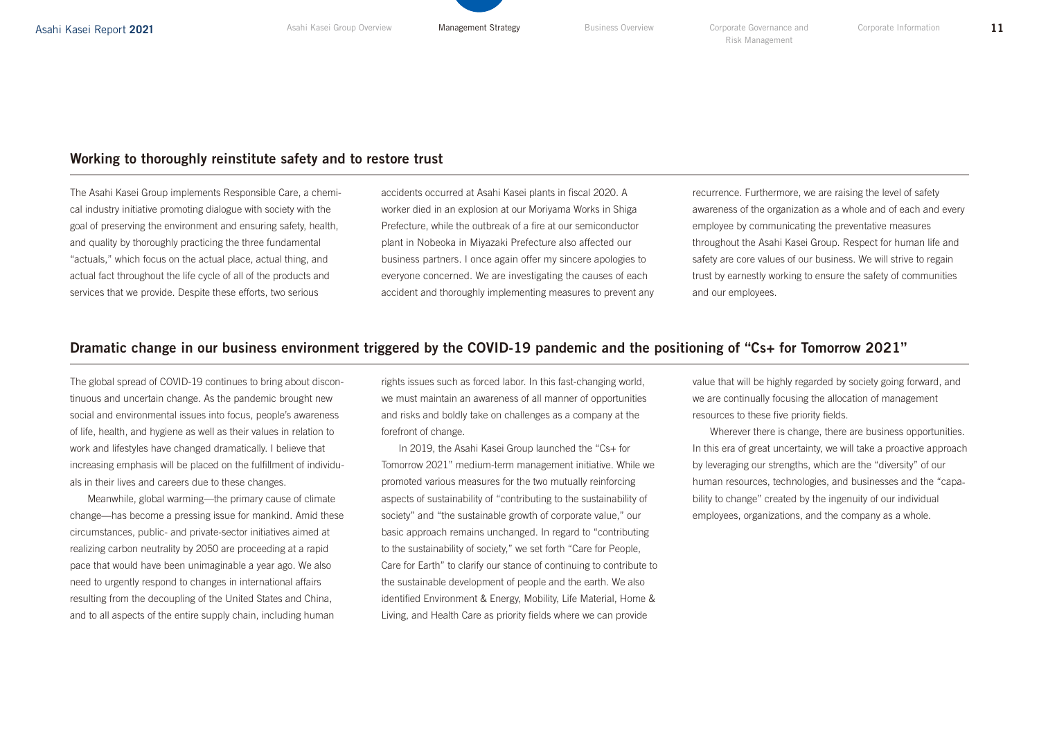# Working to thoroughly reinstitute safety and to restore trust

The Asahi Kasei Group implements Responsible Care, a chemical industry initiative promoting dialogue with society with the goal of preserving the environment and ensuring safety, health, and quality by thoroughly practicing the three fundamental "actuals," which focus on the actual place, actual thing, and actual fact throughout the life cycle of all of the products and services that we provide. Despite these efforts, two serious

accidents occurred at Asahi Kasei plants in fiscal 2020. A worker died in an explosion at our Moriyama Works in Shiga Prefecture, while the outbreak of a fire at our semiconductor plant in Nobeoka in Miyazaki Prefecture also affected our business partners. I once again offer my sincere apologies to everyone concerned. We are investigating the causes of each accident and thoroughly implementing measures to prevent any

recurrence. Furthermore, we are raising the level of safety awareness of the organization as a whole and of each and every employee by communicating the preventative measures throughout the Asahi Kasei Group. Respect for human life and safety are core values of our business. We will strive to regain trust by earnestly working to ensure the safety of communities and our employees.

#### Dramatic change in our business environment triggered by the COVID-19 pandemic and the positioning of "Cs+ for Tomorrow 2021"

The global spread of COVID-19 continues to bring about discontinuous and uncertain change. As the pandemic brought new social and environmental issues into focus, people's awareness of life, health, and hygiene as well as their values in relation to work and lifestyles have changed dramatically. I believe that increasing emphasis will be placed on the fulfillment of individuals in their lives and careers due to these changes.

Meanwhile, global warming—the primary cause of climate change—has become a pressing issue for mankind. Amid these circumstances, public- and private-sector initiatives aimed at realizing carbon neutrality by 2050 are proceeding at a rapid pace that would have been unimaginable a year ago. We also need to urgently respond to changes in international affairs resulting from the decoupling of the United States and China, and to all aspects of the entire supply chain, including human

rights issues such as forced labor. In this fast-changing world, we must maintain an awareness of all manner of opportunities and risks and boldly take on challenges as a company at the forefront of change.

In 2019, the Asahi Kasei Group launched the "Cs+ for Tomorrow 2021" medium-term management initiative. While we promoted various measures for the two mutually reinforcing aspects of sustainability of "contributing to the sustainability of society" and "the sustainable growth of corporate value," our basic approach remains unchanged. In regard to "contributing to the sustainability of society," we set forth "Care for People, Care for Earth" to clarify our stance of continuing to contribute to the sustainable development of people and the earth. We also identified Environment & Energy, Mobility, Life Material, Home & Living, and Health Care as priority fields where we can provide

value that will be highly regarded by society going forward, and we are continually focusing the allocation of management resources to these five priority fields.

Wherever there is change, there are business opportunities. In this era of great uncertainty, we will take a proactive approach by leveraging our strengths, which are the "diversity" of our human resources, technologies, and businesses and the "capability to change" created by the ingenuity of our individual employees, organizations, and the company as a whole.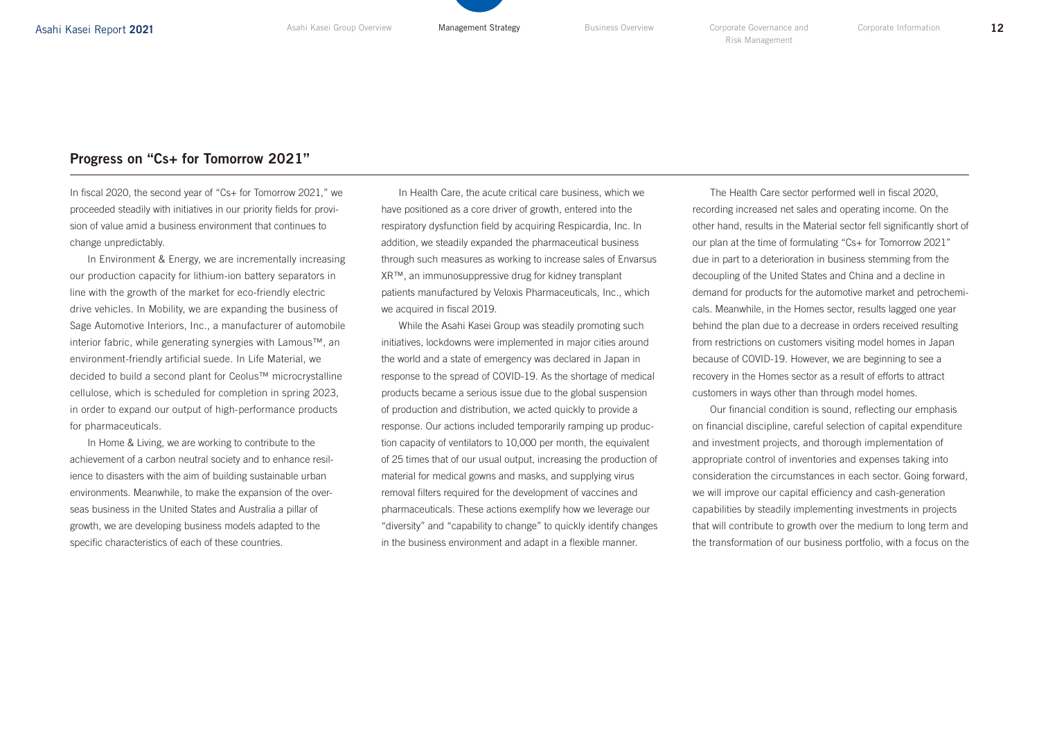### Progress on "Cs+ for Tomorrow 2021"

In fiscal 2020, the second year of "Cs+ for Tomorrow 2021," we proceeded steadily with initiatives in our priority fields for provision of value amid a business environment that continues to change unpredictably.

In Environment & Energy, we are incrementally increasing our production capacity for lithium-ion battery separators in line with the growth of the market for eco-friendly electric drive vehicles. In Mobility, we are expanding the business of Sage Automotive Interiors, Inc., a manufacturer of automobile interior fabric, while generating synergies with Lamous™, an environment-friendly artificial suede. In Life Material, we decided to build a second plant for Ceolus™ microcrystalline cellulose, which is scheduled for completion in spring 2023, in order to expand our output of high-performance products for pharmaceuticals.

In Home & Living, we are working to contribute to the achievement of a carbon neutral society and to enhance resilience to disasters with the aim of building sustainable urban environments. Meanwhile, to make the expansion of the overseas business in the United States and Australia a pillar of growth, we are developing business models adapted to the specific characteristics of each of these countries.

In Health Care, the acute critical care business, which we have positioned as a core driver of growth, entered into the respiratory dysfunction field by acquiring Respicardia, Inc. In addition, we steadily expanded the pharmaceutical business through such measures as working to increase sales of Envarsus XR™, an immunosuppressive drug for kidney transplant patients manufactured by Veloxis Pharmaceuticals, Inc., which we acquired in fiscal 2019.

While the Asahi Kasei Group was steadily promoting such initiatives, lockdowns were implemented in major cities around the world and a state of emergency was declared in Japan in response to the spread of COVID-19. As the shortage of medical products became a serious issue due to the global suspension of production and distribution, we acted quickly to provide a response. Our actions included temporarily ramping up production capacity of ventilators to 10,000 per month, the equivalent of 25 times that of our usual output, increasing the production of material for medical gowns and masks, and supplying virus removal filters required for the development of vaccines and pharmaceuticals. These actions exemplify how we leverage our "diversity" and "capability to change" to quickly identify changes in the business environment and adapt in a flexible manner.

The Health Care sector performed well in fiscal 2020, recording increased net sales and operating income. On the other hand, results in the Material sector fell significantly short of our plan at the time of formulating "Cs+ for Tomorrow 2021" due in part to a deterioration in business stemming from the decoupling of the United States and China and a decline in demand for products for the automotive market and petrochemicals. Meanwhile, in the Homes sector, results lagged one year behind the plan due to a decrease in orders received resulting from restrictions on customers visiting model homes in Japan because of COVID-19. However, we are beginning to see a recovery in the Homes sector as a result of efforts to attract customers in ways other than through model homes.

Our financial condition is sound, reflecting our emphasis on financial discipline, careful selection of capital expenditure and investment projects, and thorough implementation of appropriate control of inventories and expenses taking into consideration the circumstances in each sector. Going forward, we will improve our capital efficiency and cash-generation capabilities by steadily implementing investments in projects that will contribute to growth over the medium to long term and the transformation of our business portfolio, with a focus on the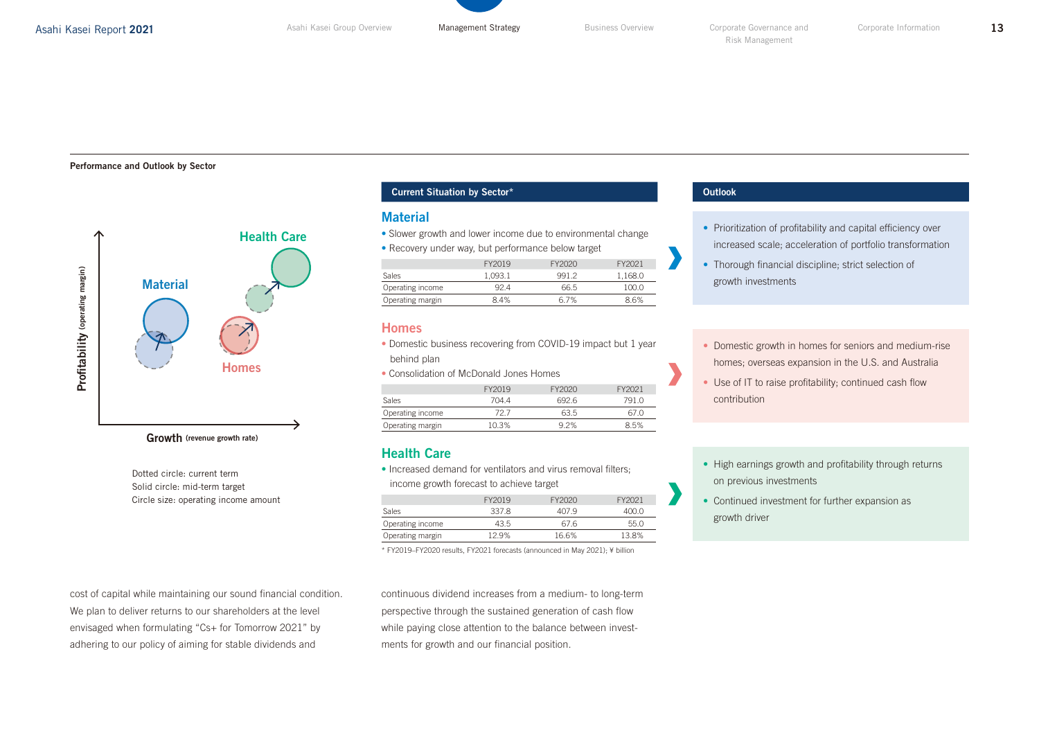#### Performance and Outlook by Sector



Growth (revenue growth rate)

Dotted circle: current term Solid circle: mid-term target Circle size: operating income amount

cost of capital while maintaining our sound financial condition. We plan to deliver returns to our shareholders at the level envisaged when formulating "Cs+ for Tomorrow 2021" by adhering to our policy of aiming for stable dividends and

#### **Current Situation by Sector\*** Outlook **Outlook**

#### **Material**

- Slower growth and lower income due to environmental change
- Recovery under way, but performance below target

|                  | FY2019  | FY2020 | FY2021  |
|------------------|---------|--------|---------|
| Sales            | 1.093.1 | 991.2  | 1.168.0 |
| Operating income | 92 4    | 66.5   | 100.0   |
| Operating margin | 84%     | 67%    | 86%     |

#### Homes

- Domestic business recovering from COVID-19 impact but 1 year behind plan
- Consolidation of McDonald Jones Homes

|                  | FY2019 | FY2020 | FY2021 |
|------------------|--------|--------|--------|
| <b>Sales</b>     | 704 4  | 6926   | 791 O  |
| Operating income | 72 7   | 63.5   | 67 O   |
| Operating margin | 10.3%  | 92%    | 8.5%   |

#### Health Care

• Increased demand for ventilators and virus removal filters; income growth forecast to achieve target

|                  | FY2019 | FY2020 | FY2021 |
|------------------|--------|--------|--------|
| <b>Sales</b>     | 337.8  | 407.9  | 400 O  |
| Operating income | 43.5   | 67.6   | 55 O   |
| Operating margin | 12 9%  | 16.6%  | 13.8%  |

\* FY2019–FY2020 results, FY2021 forecasts (announced in May 2021); ¥ billion

continuous dividend increases from a medium- to long-term perspective through the sustained generation of cash flow while paying close attention to the balance between investments for growth and our financial position.

- Prioritization of profitability and capital efficiency over increased scale; acceleration of portfolio transformation
- Thorough financial discipline; strict selection of growth investments
- Domestic growth in homes for seniors and medium-rise homes; overseas expansion in the U.S. and Australia
- Use of IT to raise profitability; continued cash flow contribution
- High earnings growth and profitability through returns on previous investments
- Continued investment for further expansion as growth driver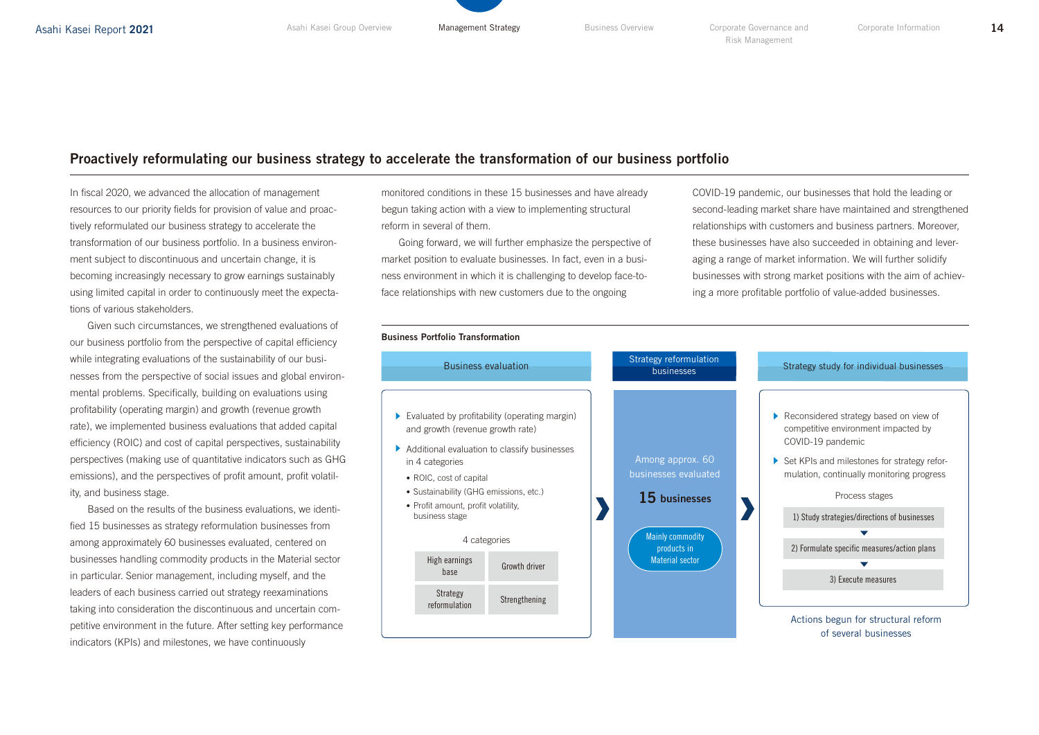# Proactively reformulating our business strategy to accelerate the transformation of our business portfolio

In fiscal 2020, we advanced the allocation of management resources to our priority fields for provision of value and proactively reformulated our business strategy to accelerate the transformation of our business portfolio. In a business environment subject to discontinuous and uncertain change, it is becoming increasingly necessary to grow earnings sustainably using limited capital in order to continuously meet the expectations of various stakeholders.

Given such circumstances, we strengthened evaluations of our business portfolio from the perspective of capital efficiency while integrating evaluations of the sustainability of our businesses from the perspective of social issues and global environmental problems. Specifically, building on evaluations using profitability (operating margin) and growth (revenue growth rate), we implemented business evaluations that added capital efficiency (ROIC) and cost of capital perspectives, sustainability perspectives (making use of quantitative indicators such as GHG emissions), and the perspectives of profit amount, profit volatility, and business stage.

Based on the results of the business evaluations, we identified 15 businesses as strategy reformulation businesses from among approximately 60 businesses evaluated, centered on businesses handling commodity products in the Material sector in particular. Senior management, including myself, and the leaders of each business carried out strategy reexaminations taking into consideration the discontinuous and uncertain competitive environment in the future. After setting key performance indicators (KPIs) and milestones, we have continuously

monitored conditions in these 15 businesses and have already begun taking action with a view to implementing structural reform in several of them.

Going forward, we will further emphasize the perspective of market position to evaluate businesses. In fact, even in a business environment in which it is challenging to develop face-toface relationships with new customers due to the ongoing

COVID-19 pandemic, our businesses that hold the leading or second-leading market share have maintained and strengthened relationships with customers and business partners. Moreover, these businesses have also succeeded in obtaining and leveraging a range of market information. We will further solidify businesses with strong market positions with the aim of achieving a more profitable portfolio of value-added businesses.

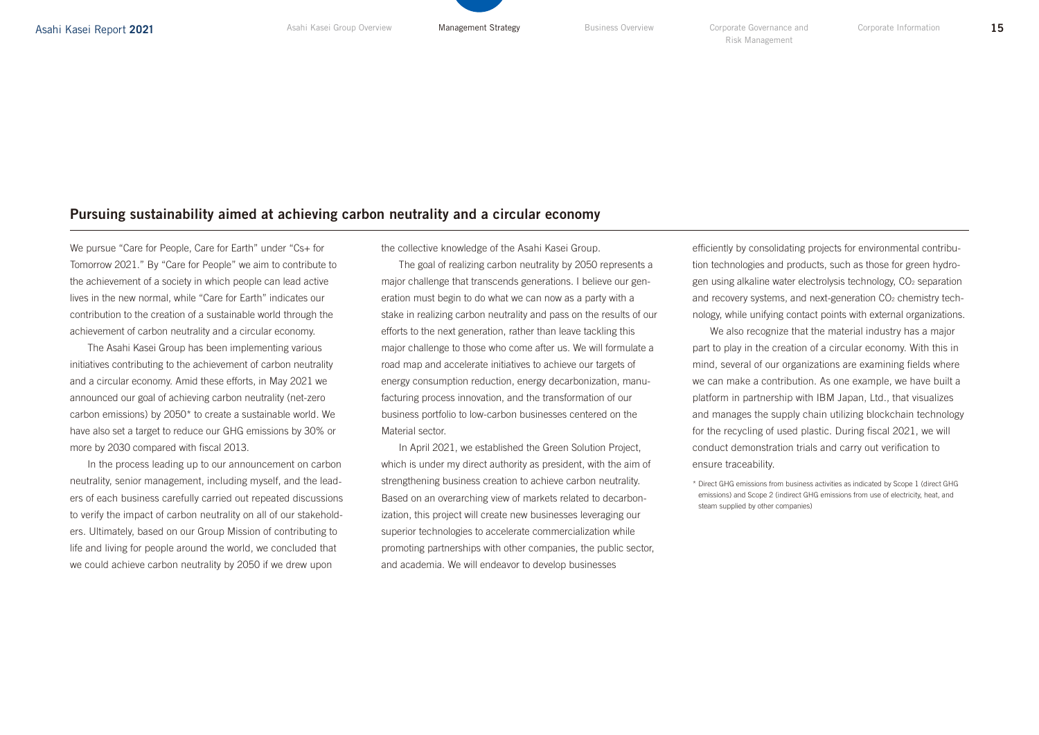# Pursuing sustainability aimed at achieving carbon neutrality and a circular economy

We pursue "Care for People, Care for Earth" under "Cs+ for Tomorrow 2021." By "Care for People" we aim to contribute to the achievement of a society in which people can lead active lives in the new normal, while "Care for Earth" indicates our contribution to the creation of a sustainable world through the achievement of carbon neutrality and a circular economy.

The Asahi Kasei Group has been implementing various initiatives contributing to the achievement of carbon neutrality and a circular economy. Amid these efforts, in May 2021 we announced our goal of achieving carbon neutrality (net-zero carbon emissions) by 2050\* to create a sustainable world. We have also set a target to reduce our GHG emissions by 30% or more by 2030 compared with fiscal 2013.

In the process leading up to our announcement on carbon neutrality, senior management, including myself, and the leaders of each business carefully carried out repeated discussions to verify the impact of carbon neutrality on all of our stakeholders. Ultimately, based on our Group Mission of contributing to life and living for people around the world, we concluded that we could achieve carbon neutrality by 2050 if we drew upon

the collective knowledge of the Asahi Kasei Group.

The goal of realizing carbon neutrality by 2050 represents a major challenge that transcends generations. I believe our generation must begin to do what we can now as a party with a stake in realizing carbon neutrality and pass on the results of our efforts to the next generation, rather than leave tackling this major challenge to those who come after us. We will formulate a road map and accelerate initiatives to achieve our targets of energy consumption reduction, energy decarbonization, manufacturing process innovation, and the transformation of our business portfolio to low-carbon businesses centered on the Material sector.

In April 2021, we established the Green Solution Project, which is under my direct authority as president, with the aim of strengthening business creation to achieve carbon neutrality. Based on an overarching view of markets related to decarbonization, this project will create new businesses leveraging our superior technologies to accelerate commercialization while promoting partnerships with other companies, the public sector, and academia. We will endeavor to develop businesses

efficiently by consolidating projects for environmental contribution technologies and products, such as those for green hydrogen using alkaline water electrolysis technology, CO<sub>2</sub> separation and recovery systems, and next-generation CO<sub>2</sub> chemistry technology, while unifying contact points with external organizations.

We also recognize that the material industry has a major part to play in the creation of a circular economy. With this in mind, several of our organizations are examining fields where we can make a contribution. As one example, we have built a platform in partnership with IBM Japan, Ltd., that visualizes and manages the supply chain utilizing blockchain technology for the recycling of used plastic. During fiscal 2021, we will conduct demonstration trials and carry out verification to ensure traceability.

\* Direct GHG emissions from business activities as indicated by Scope 1 (direct GHG emissions) and Scope 2 (indirect GHG emissions from use of electricity, heat, and steam supplied by other companies)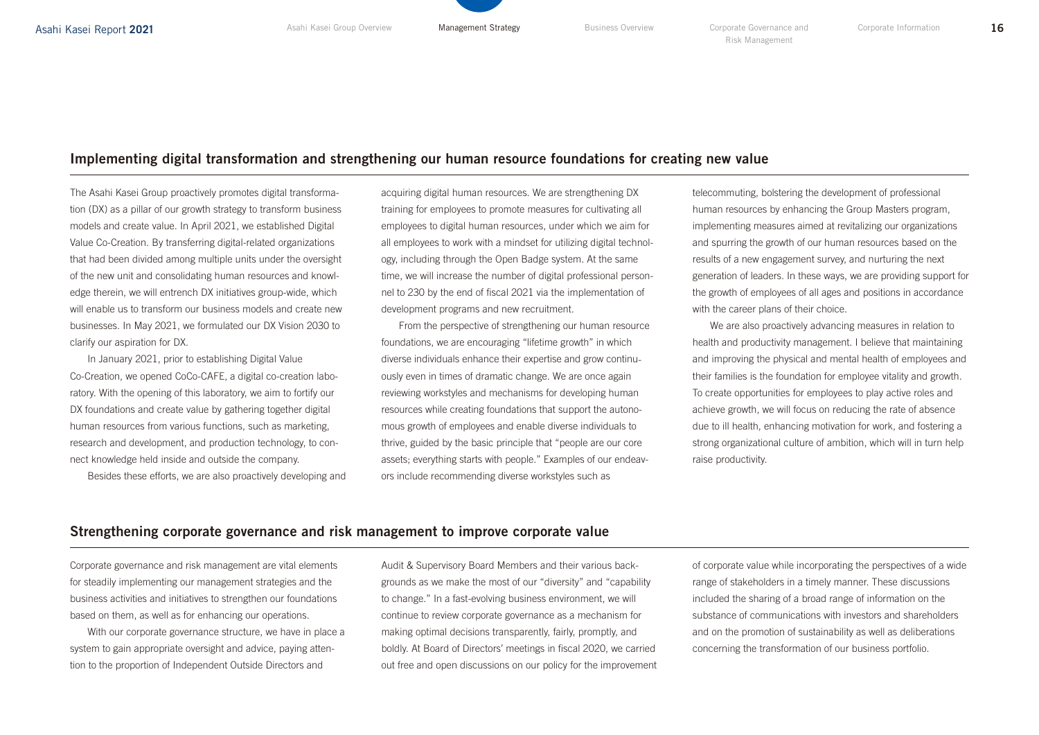### Implementing digital transformation and strengthening our human resource foundations for creating new value

The Asahi Kasei Group proactively promotes digital transformation (DX) as a pillar of our growth strategy to transform business models and create value. In April 2021, we established Digital Value Co-Creation. By transferring digital-related organizations that had been divided among multiple units under the oversight of the new unit and consolidating human resources and knowledge therein, we will entrench DX initiatives group-wide, which will enable us to transform our business models and create new businesses. In May 2021, we formulated our DX Vision 2030 to clarify our aspiration for DX.

In January 2021, prior to establishing Digital Value Co-Creation, we opened CoCo-CAFE, a digital co-creation laboratory. With the opening of this laboratory, we aim to fortify our DX foundations and create value by gathering together digital human resources from various functions, such as marketing, research and development, and production technology, to connect knowledge held inside and outside the company.

Besides these efforts, we are also proactively developing and

acquiring digital human resources. We are strengthening DX training for employees to promote measures for cultivating all employees to digital human resources, under which we aim for all employees to work with a mindset for utilizing digital technology, including through the Open Badge system. At the same time, we will increase the number of digital professional personnel to 230 by the end of fiscal 2021 via the implementation of development programs and new recruitment.

From the perspective of strengthening our human resource foundations, we are encouraging "lifetime growth" in which diverse individuals enhance their expertise and grow continuously even in times of dramatic change. We are once again reviewing workstyles and mechanisms for developing human resources while creating foundations that support the autonomous growth of employees and enable diverse individuals to thrive, guided by the basic principle that "people are our core assets; everything starts with people." Examples of our endeavors include recommending diverse workstyles such as

telecommuting, bolstering the development of professional human resources by enhancing the Group Masters program, implementing measures aimed at revitalizing our organizations and spurring the growth of our human resources based on the results of a new engagement survey, and nurturing the next generation of leaders. In these ways, we are providing support for the growth of employees of all ages and positions in accordance with the career plans of their choice.

We are also proactively advancing measures in relation to health and productivity management. I believe that maintaining and improving the physical and mental health of employees and their families is the foundation for employee vitality and growth. To create opportunities for employees to play active roles and achieve growth, we will focus on reducing the rate of absence due to ill health, enhancing motivation for work, and fostering a strong organizational culture of ambition, which will in turn help raise productivity.

#### Strengthening corporate governance and risk management to improve corporate value

Corporate governance and risk management are vital elements for steadily implementing our management strategies and the business activities and initiatives to strengthen our foundations based on them, as well as for enhancing our operations.

With our corporate governance structure, we have in place a system to gain appropriate oversight and advice, paying attention to the proportion of Independent Outside Directors and

Audit & Supervisory Board Members and their various backgrounds as we make the most of our "diversity" and "capability to change." In a fast-evolving business environment, we will continue to review corporate governance as a mechanism for making optimal decisions transparently, fairly, promptly, and boldly. At Board of Directors' meetings in fiscal 2020, we carried out free and open discussions on our policy for the improvement of corporate value while incorporating the perspectives of a wide range of stakeholders in a timely manner. These discussions included the sharing of a broad range of information on the substance of communications with investors and shareholders and on the promotion of sustainability as well as deliberations concerning the transformation of our business portfolio.